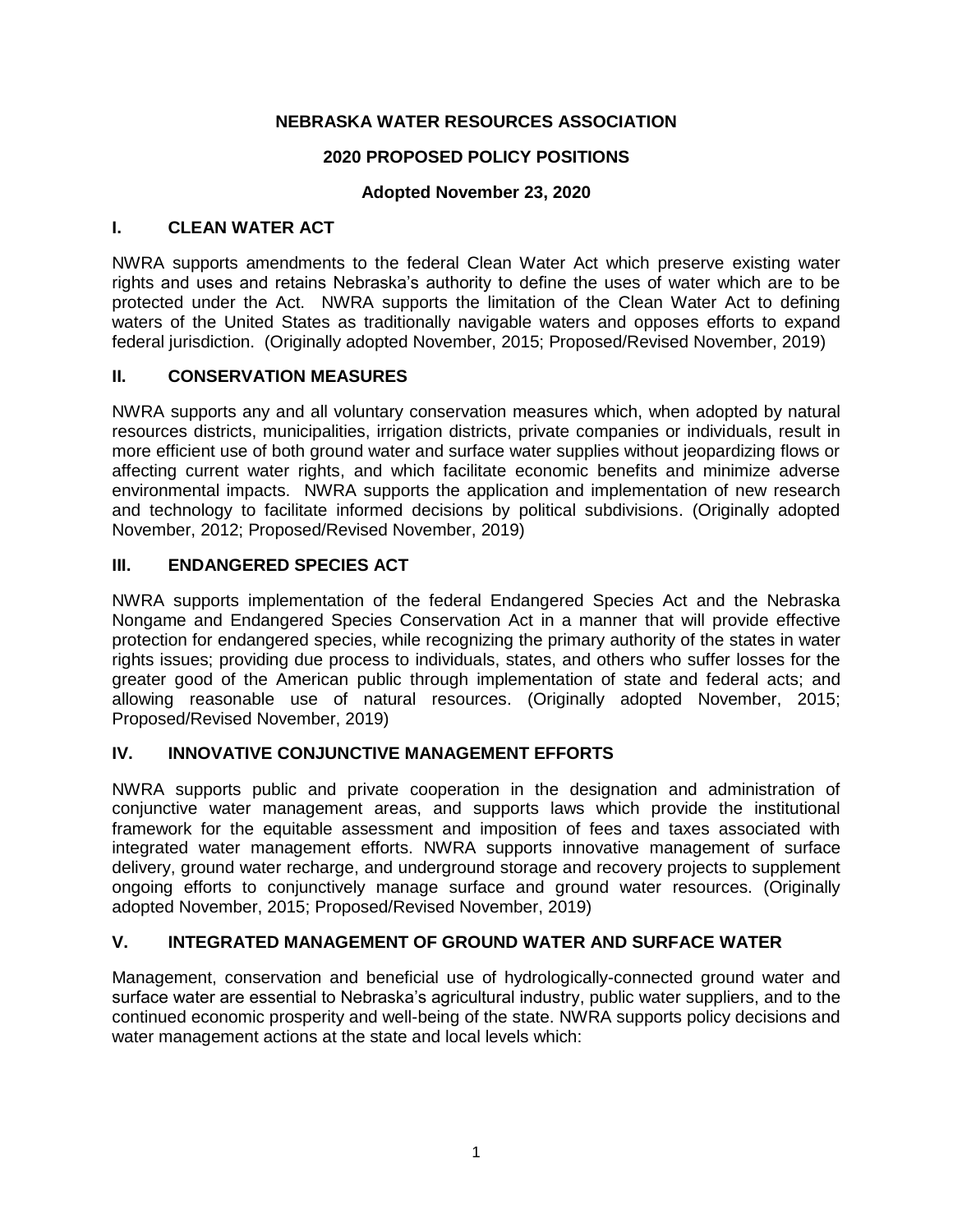## **NEBRASKA WATER RESOURCES ASSOCIATION**

## **2020 PROPOSED POLICY POSITIONS**

## **Adopted November 23, 2020**

### **I. CLEAN WATER ACT**

NWRA supports amendments to the federal Clean Water Act which preserve existing water rights and uses and retains Nebraska's authority to define the uses of water which are to be protected under the Act. NWRA supports the limitation of the Clean Water Act to defining waters of the United States as traditionally navigable waters and opposes efforts to expand federal jurisdiction. (Originally adopted November, 2015; Proposed/Revised November, 2019)

## **II. CONSERVATION MEASURES**

NWRA supports any and all voluntary conservation measures which, when adopted by natural resources districts, municipalities, irrigation districts, private companies or individuals, result in more efficient use of both ground water and surface water supplies without jeopardizing flows or affecting current water rights, and which facilitate economic benefits and minimize adverse environmental impacts. NWRA supports the application and implementation of new research and technology to facilitate informed decisions by political subdivisions. (Originally adopted November, 2012; Proposed/Revised November, 2019)

## **III. ENDANGERED SPECIES ACT**

NWRA supports implementation of the federal Endangered Species Act and the Nebraska Nongame and Endangered Species Conservation Act in a manner that will provide effective protection for endangered species, while recognizing the primary authority of the states in water rights issues; providing due process to individuals, states, and others who suffer losses for the greater good of the American public through implementation of state and federal acts; and allowing reasonable use of natural resources. (Originally adopted November, 2015; Proposed/Revised November, 2019)

#### **IV. INNOVATIVE CONJUNCTIVE MANAGEMENT EFFORTS**

NWRA supports public and private cooperation in the designation and administration of conjunctive water management areas, and supports laws which provide the institutional framework for the equitable assessment and imposition of fees and taxes associated with integrated water management efforts. NWRA supports innovative management of surface delivery, ground water recharge, and underground storage and recovery projects to supplement ongoing efforts to conjunctively manage surface and ground water resources. (Originally adopted November, 2015; Proposed/Revised November, 2019)

## **V. INTEGRATED MANAGEMENT OF GROUND WATER AND SURFACE WATER**

Management, conservation and beneficial use of hydrologically-connected ground water and surface water are essential to Nebraska's agricultural industry, public water suppliers, and to the continued economic prosperity and well-being of the state. NWRA supports policy decisions and water management actions at the state and local levels which: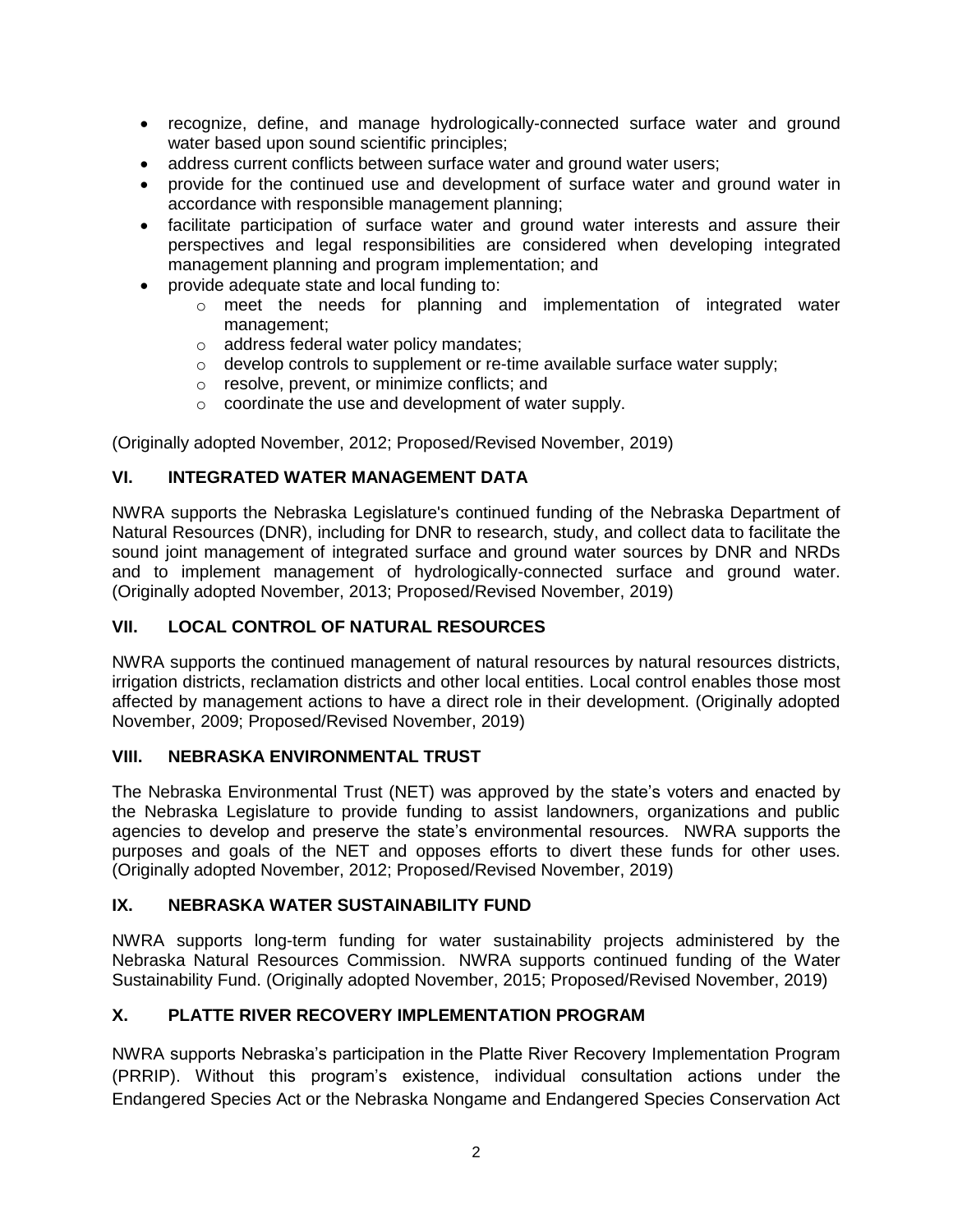- recognize, define, and manage hydrologically-connected surface water and ground water based upon sound scientific principles;
- address current conflicts between surface water and ground water users;
- provide for the continued use and development of surface water and ground water in accordance with responsible management planning;
- facilitate participation of surface water and ground water interests and assure their perspectives and legal responsibilities are considered when developing integrated management planning and program implementation; and
- provide adequate state and local funding to:
	- $\circ$  meet the needs for planning and implementation of integrated water management;
	- o address federal water policy mandates;
	- $\circ$  develop controls to supplement or re-time available surface water supply;
	- o resolve, prevent, or minimize conflicts; and
	- o coordinate the use and development of water supply.

(Originally adopted November, 2012; Proposed/Revised November, 2019)

## **VI. INTEGRATED WATER MANAGEMENT DATA**

NWRA supports the Nebraska Legislature's continued funding of the Nebraska Department of Natural Resources (DNR), including for DNR to research, study, and collect data to facilitate the sound joint management of integrated surface and ground water sources by DNR and NRDs and to implement management of hydrologically-connected surface and ground water. (Originally adopted November, 2013; Proposed/Revised November, 2019)

#### **VII. LOCAL CONTROL OF NATURAL RESOURCES**

NWRA supports the continued management of natural resources by natural resources districts, irrigation districts, reclamation districts and other local entities. Local control enables those most affected by management actions to have a direct role in their development. (Originally adopted November, 2009; Proposed/Revised November, 2019)

#### **VIII. NEBRASKA ENVIRONMENTAL TRUST**

The Nebraska Environmental Trust (NET) was approved by the state's voters and enacted by the Nebraska Legislature to provide funding to assist landowners, organizations and public agencies to develop and preserve the state's environmental resources. NWRA supports the purposes and goals of the NET and opposes efforts to divert these funds for other uses. (Originally adopted November, 2012; Proposed/Revised November, 2019)

#### **IX. NEBRASKA WATER SUSTAINABILITY FUND**

NWRA supports long-term funding for water sustainability projects administered by the Nebraska Natural Resources Commission. NWRA supports continued funding of the Water Sustainability Fund. (Originally adopted November, 2015; Proposed/Revised November, 2019)

## **X. PLATTE RIVER RECOVERY IMPLEMENTATION PROGRAM**

NWRA supports Nebraska's participation in the Platte River Recovery Implementation Program (PRRIP). Without this program's existence, individual consultation actions under the Endangered Species Act or the Nebraska Nongame and Endangered Species Conservation Act